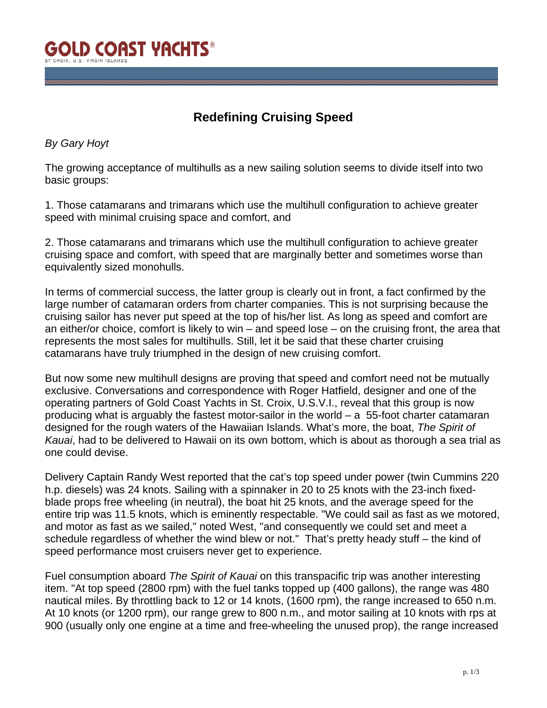

## **Redefining Cruising Speed**

## *By Gary Hoyt*

The growing acceptance of multihulls as a new sailing solution seems to divide itself into two basic groups:

1. Those catamarans and trimarans which use the multihull configuration to achieve greater speed with minimal cruising space and comfort, and

2. Those catamarans and trimarans which use the multihull configuration to achieve greater cruising space and comfort, with speed that are marginally better and sometimes worse than equivalently sized monohulls.

In terms of commercial success, the latter group is clearly out in front, a fact confirmed by the large number of catamaran orders from charter companies. This is not surprising because the cruising sailor has never put speed at the top of his/her list. As long as speed and comfort are an either/or choice, comfort is likely to win – and speed lose – on the cruising front, the area that represents the most sales for multihulls. Still, let it be said that these charter cruising catamarans have truly triumphed in the design of new cruising comfort.

But now some new multihull designs are proving that speed and comfort need not be mutually exclusive. Conversations and correspondence with Roger Hatfield, designer and one of the operating partners of Gold Coast Yachts in St. Croix, U.S.V.I., reveal that this group is now producing what is arguably the fastest motor-sailor in the world – a 55-foot charter catamaran designed for the rough waters of the Hawaiian Islands. What's more, the boat, *The Spirit of Kauai*, had to be delivered to Hawaii on its own bottom, which is about as thorough a sea trial as one could devise.

Delivery Captain Randy West reported that the cat's top speed under power (twin Cummins 220 h.p. diesels) was 24 knots. Sailing with a spinnaker in 20 to 25 knots with the 23-inch fixedblade props free wheeling (in neutral), the boat hit 25 knots, and the average speed for the entire trip was 11.5 knots, which is eminently respectable. "We could sail as fast as we motored, and motor as fast as we sailed," noted West, "and consequently we could set and meet a schedule regardless of whether the wind blew or not." That's pretty heady stuff – the kind of speed performance most cruisers never get to experience.

Fuel consumption aboard *The Spirit of Kauai* on this transpacific trip was another interesting item. "At top speed (2800 rpm) with the fuel tanks topped up (400 gallons), the range was 480 nautical miles. By throttling back to 12 or 14 knots, (1600 rpm), the range increased to 650 n.m. At 10 knots (or 1200 rpm), our range grew to 800 n.m., and motor sailing at 10 knots with rps at 900 (usually only one engine at a time and free-wheeling the unused prop), the range increased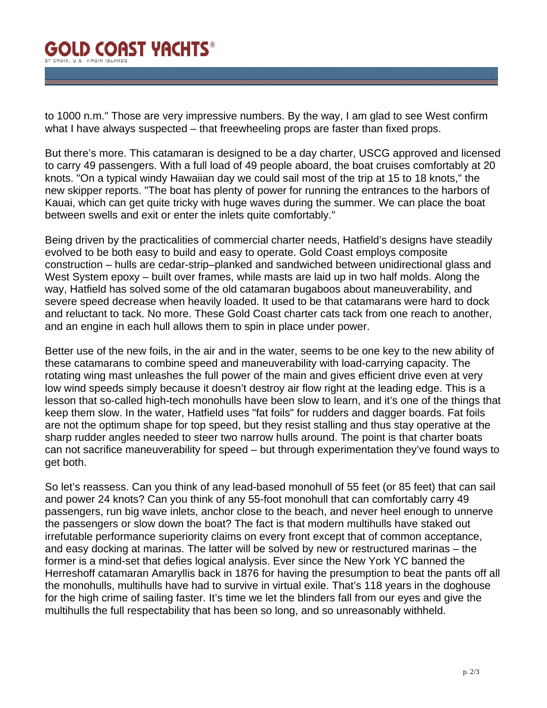## **GOLD COAST YACHTS®** T CROIX II S VIRGIN ISLAND

to 1000 n.m." Those are very impressive numbers. By the way, I am glad to see West confirm what I have always suspected – that freewheeling props are faster than fixed props.

But there's more. This catamaran is designed to be a day charter, USCG approved and licensed to carry 49 passengers. With a full load of 49 people aboard, the boat cruises comfortably at 20 knots. "On a typical windy Hawaiian day we could sail most of the trip at 15 to 18 knots," the new skipper reports. "The boat has plenty of power for running the entrances to the harbors of Kauai, which can get quite tricky with huge waves during the summer. We can place the boat between swells and exit or enter the inlets quite comfortably."

Being driven by the practicalities of commercial charter needs, Hatfield's designs have steadily evolved to be both easy to build and easy to operate. Gold Coast employs composite construction – hulls are cedar-strip–planked and sandwiched between unidirectional glass and West System epoxy – built over frames, while masts are laid up in two half molds. Along the way, Hatfield has solved some of the old catamaran bugaboos about maneuverability, and severe speed decrease when heavily loaded. It used to be that catamarans were hard to dock and reluctant to tack. No more. These Gold Coast charter cats tack from one reach to another, and an engine in each hull allows them to spin in place under power.

Better use of the new foils, in the air and in the water, seems to be one key to the new ability of these catamarans to combine speed and maneuverability with load-carrying capacity. The rotating wing mast unleashes the full power of the main and gives efficient drive even at very low wind speeds simply because it doesn't destroy air flow right at the leading edge. This is a lesson that so-called high-tech monohulls have been slow to learn, and it's one of the things that keep them slow. In the water, Hatfield uses "fat foils" for rudders and dagger boards. Fat foils are not the optimum shape for top speed, but they resist stalling and thus stay operative at the sharp rudder angles needed to steer two narrow hulls around. The point is that charter boats can not sacrifice maneuverability for speed – but through experimentation they've found ways to get both.

So let's reassess. Can you think of any lead-based monohull of 55 feet (or 85 feet) that can sail and power 24 knots? Can you think of any 55-foot monohull that can comfortably carry 49 passengers, run big wave inlets, anchor close to the beach, and never heel enough to unnerve the passengers or slow down the boat? The fact is that modern multihulls have staked out irrefutable performance superiority claims on every front except that of common acceptance, and easy docking at marinas. The latter will be solved by new or restructured marinas – the former is a mind-set that defies logical analysis. Ever since the New York YC banned the Herreshoff catamaran Amaryllis back in 1876 for having the presumption to beat the pants off all the monohulls, multihulls have had to survive in virtual exile. That's 118 years in the doghouse for the high crime of sailing faster. It's time we let the blinders fall from our eyes and give the multihulls the full respectability that has been so long, and so unreasonably withheld.